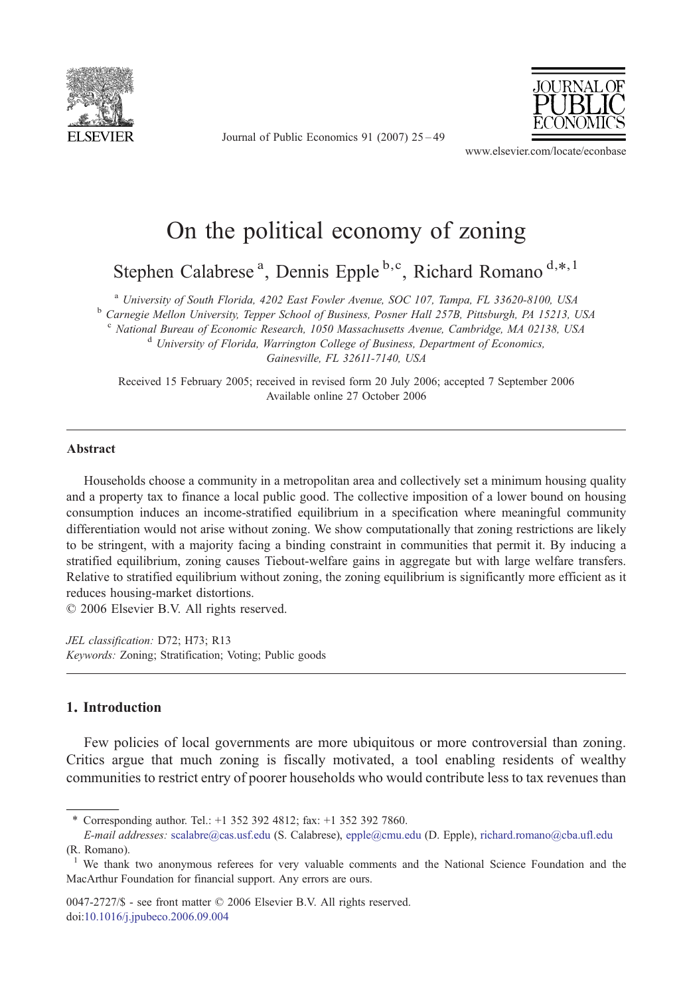

Journal of Public Economics 91 (2007) 25–49



www.elsevier.com/locate/econbase

## On the political economy of zoning

Stephen Calabrese<sup>a</sup>, Dennis Epple<sup>b,c</sup>, Richard Romano<sup>d,\*,1</sup>

<sup>a</sup> University of South Florida, 4202 East Fowler Avenue, SOC 107, Tampa, FL 33620-8100, USA b Carnegie Mellon University, Tepper School of Business, Posner Hall 257B, Pittsburgh, PA 15213, USA

<sup>c</sup> National Bureau of Economic Research, 1050 Massachusetts Avenue, Cambridge, MA 02138, USA d University of Florida, Warrington College of Business, Department of Economics, Gainesville, FL 32611-7140, USA

Received 15 February 2005; received in revised form 20 July 2006; accepted 7 September 2006 Available online 27 October 2006

## Abstract

Households choose a community in a metropolitan area and collectively set a minimum housing quality and a property tax to finance a local public good. The collective imposition of a lower bound on housing consumption induces an income-stratified equilibrium in a specification where meaningful community differentiation would not arise without zoning. We show computationally that zoning restrictions are likely to be stringent, with a majority facing a binding constraint in communities that permit it. By inducing a stratified equilibrium, zoning causes Tiebout-welfare gains in aggregate but with large welfare transfers. Relative to stratified equilibrium without zoning, the zoning equilibrium is significantly more efficient as it reduces housing-market distortions.

© 2006 Elsevier B.V. All rights reserved.

JEL classification: D72; H73; R13 Keywords: Zoning; Stratification; Voting; Public goods

## 1. Introduction

Few policies of local governments are more ubiquitous or more controversial than zoning. Critics argue that much zoning is fiscally motivated, a tool enabling residents of wealthy communities to restrict entry of poorer households who would contribute less to tax revenues than

0047-2727/\$ - see front matter © 2006 Elsevier B.V. All rights reserved. doi:[10.1016/j.jpubeco.2006.09.004](http://dx.doi.org/10.1016/j.jpubeco.2006.09.004)

<sup>⁎</sup> Corresponding author. Tel.: +1 352 392 4812; fax: +1 352 392 7860.

E-mail addresses: [scalabre@cas.usf.edu](mailto:scalabre@cas.usf.edu) (S. Calabrese), [epple@cmu.edu](mailto:epple@cmu.edu) (D. Epple), [richard.romano@cba.ufl.edu](mailto:richard.romano@cba.ufl.edu) (R. Romano).

<sup>&</sup>lt;sup>1</sup> We thank two anonymous referees for very valuable comments and the National Science Foundation and the MacArthur Foundation for financial support. Any errors are ours.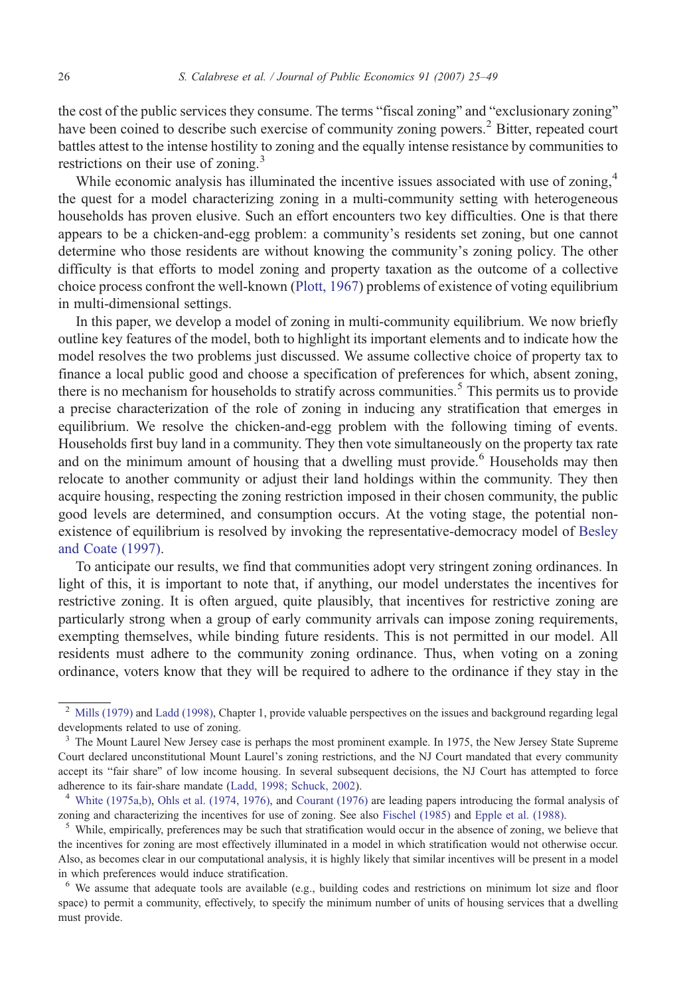the cost of the public services they consume. The terms "fiscal zoning" and "exclusionary zoning" have been coined to describe such exercise of community zoning powers.<sup>2</sup> Bitter, repeated court battles attest to the intense hostility to zoning and the equally intense resistance by communities to restrictions on their use of zoning.<sup>3</sup>

While economic analysis has illuminated the incentive issues associated with use of zoning,<sup>4</sup> the quest for a model characterizing zoning in a multi-community setting with heterogeneous households has proven elusive. Such an effort encounters two key difficulties. One is that there appears to be a chicken-and-egg problem: a community's residents set zoning, but one cannot determine who those residents are without knowing the community's zoning policy. The other difficulty is that efforts to model zoning and property taxation as the outcome of a collective choice process confront the well-known ([Plott, 1967](#page--1-0)) problems of existence of voting equilibrium in multi-dimensional settings.

In this paper, we develop a model of zoning in multi-community equilibrium. We now briefly outline key features of the model, both to highlight its important elements and to indicate how the model resolves the two problems just discussed. We assume collective choice of property tax to finance a local public good and choose a specification of preferences for which, absent zoning, there is no mechanism for households to stratify across communities.<sup>5</sup> This permits us to provide a precise characterization of the role of zoning in inducing any stratification that emerges in equilibrium. We resolve the chicken-and-egg problem with the following timing of events. Households first buy land in a community. They then vote simultaneously on the property tax rate and on the minimum amount of housing that a dwelling must provide.<sup>6</sup> Households may then relocate to another community or adjust their land holdings within the community. They then acquire housing, respecting the zoning restriction imposed in their chosen community, the public good levels are determined, and consumption occurs. At the voting stage, the potential nonexistence of equilibrium is resolved by invoking the representative-democracy model of [Besley](#page--1-0) [and Coate \(1997\).](#page--1-0)

To anticipate our results, we find that communities adopt very stringent zoning ordinances. In light of this, it is important to note that, if anything, our model understates the incentives for restrictive zoning. It is often argued, quite plausibly, that incentives for restrictive zoning are particularly strong when a group of early community arrivals can impose zoning requirements, exempting themselves, while binding future residents. This is not permitted in our model. All residents must adhere to the community zoning ordinance. Thus, when voting on a zoning ordinance, voters know that they will be required to adhere to the ordinance if they stay in the

<sup>&</sup>lt;sup>2</sup> [Mills \(1979\)](#page--1-0) and [Ladd \(1998\)](#page--1-0), Chapter 1, provide valuable perspectives on the issues and background regarding legal developments related to use of zoning.

<sup>&</sup>lt;sup>3</sup> The Mount Laurel New Jersey case is perhaps the most prominent example. In 1975, the New Jersey State Supreme Court declared unconstitutional Mount Laurel's zoning restrictions, and the NJ Court mandated that every community accept its "fair share" of low income housing. In several subsequent decisions, the NJ Court has attempted to force adherence to its fair-share mandate [\(Ladd, 1998; Schuck, 2002\)](#page--1-0).<br><sup>4</sup> [White \(1975a,b\)](#page--1-0), [Ohls et al. \(1974, 1976\)](#page--1-0), and [Courant \(1976\)](#page--1-0) are leading papers introducing the formal analysis of

zoning and characterizing the incentives for use of zoning. See also [Fischel \(1985\)](#page--1-0) and [Epple et al. \(1988\)](#page--1-0).

 $5$  While, empirically, preferences may be such that stratification would occur in the absence of zoning, we believe that the incentives for zoning are most effectively illuminated in a model in which stratification would not otherwise occur. Also, as becomes clear in our computational analysis, it is highly likely that similar incentives will be present in a model in which preferences would induce stratification.

<sup>&</sup>lt;sup>6</sup> We assume that adequate tools are available (e.g., building codes and restrictions on minimum lot size and floor space) to permit a community, effectively, to specify the minimum number of units of housing services that a dwelling must provide.